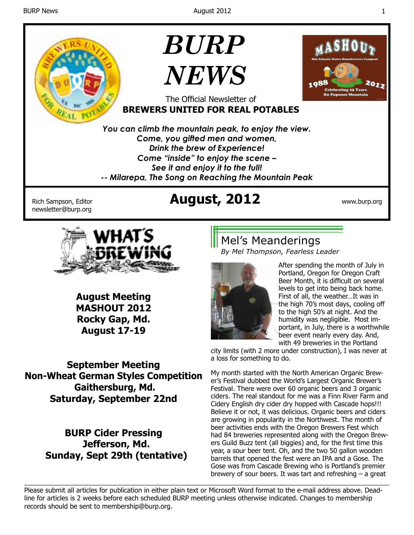

**August Meeting MASHOUT 2012 Rocky Gap, Md. August 17-19**

**September Meeting Non-Wheat German Styles Competition Gaithersburg, Md. Saturday, September 22nd**

> **BURP Cider Pressing Jefferson, Md. Sunday, Sept 29th (tentative)**

*By Mel Thompson, Fearless Leader*



After spending the month of July in Portland, Oregon for Oregon Craft Beer Month, it is difficult on several levels to get into being back home. First of all, the weather…It was in the high 70's most days, cooling off to the high 50's at night. And the humidity was negligible. Most important, in July, there is a worthwhile beer event nearly every day. And, with 49 breweries in the Portland

city limits (with 2 more under construction), I was never at a loss for something to do.

My month started with the North American Organic Brewer's Festival dubbed the World's Largest Organic Brewer's Festival. There were over 60 organic beers and 3 organic ciders. The real standout for me was a Finn River Farm and Cidery English dry cider dry hopped with Cascade hops!!! Believe it or not, it was delicious. Organic beers and ciders are growing in popularity in the Northwest. The month of beer activities ends with the Oregon Brewers Fest which had 84 breweries represented along with the Oregon Brewers Guild Buzz tent (all biggies) and, for the first time this year, a sour beer tent. Oh, and the two 50 gallon wooden barrels that opened the fest were an IPA and a Gose. The Gose was from Cascade Brewing who is Portland's premier brewery of sour beers. It was tart and refreshing  $-$  a great

\_\_\_\_\_\_\_\_\_\_\_\_\_\_\_\_\_\_\_\_\_\_\_\_\_\_\_\_\_\_\_\_\_\_\_\_\_\_\_\_\_\_\_\_\_\_\_\_\_\_\_\_\_\_\_\_\_\_\_\_\_\_\_\_\_\_\_\_\_\_\_\_\_\_\_\_\_\_\_\_\_\_\_\_\_\_\_\_\_\_ Please submit all articles for publication in either plain text or Microsoft Word format to the e-mail address above. Deadline for articles is 2 weeks before each scheduled BURP meeting unless otherwise indicated. Changes to membership records should be sent to membership@burp.org.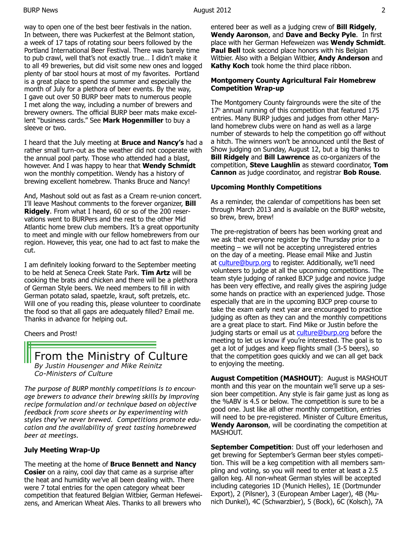way to open one of the best beer festivals in the nation. In between, there was Puckerfest at the Belmont station, a week of 17 taps of rotating sour beers followed by the Portland International Beer Festival. There was barely time to pub crawl, well that's not exactly true… I didn't make it to all 49 breweries, but did visit some new ones and logged plenty of bar stool hours at most of my favorites. Portland is a great place to spend the summer and especially the month of July for a plethora of beer events. By the way, I gave out over 50 BURP beer mats to numerous people I met along the way, including a number of brewers and brewery owners. The official BURP beer mats make excellent "business cards." See **Mark Hogenmiller** to buy a sleeve or two.

I heard that the July meeting at **Bruce and Nancy's** had a rather small turn-out as the weather did not cooperate with the annual pool party. Those who attended had a blast, however. And I was happy to hear that **Wendy Schmidt**  won the monthly competition. Wendy has a history of brewing excellent homebrew. Thanks Bruce and Nancy!

And, Mashout sold out as fast as a Cream re-union concert. I'll leave Mashout comments to the forever organizer, **Bill Ridgely**. From what I heard, 60 or so of the 200 reservations went to BURPers and the rest to the other Mid Atlantic home brew club members. It's a great opportunity to meet and mingle with our fellow homebrewers from our region. However, this year, one had to act fast to make the cut.

I am definitely looking forward to the September meeting to be held at Seneca Creek State Park. **Tim Artz** will be cooking the brats and chicken and there will be a plethora of German Style beers. We need members to fill in with German potato salad, spaetzle, kraut, soft pretzels, etc. Will one of you reading this, please volunteer to coordinate the food so that all gaps are adequately filled? Email me. Thanks in advance for helping out.

Cheers and Prost!

From the Ministry of Culture *By Justin Housenger and Mike Reinitz Co-Ministers of Culture*

*The purpose of BURP monthly competitions is to encourage brewers to advance their brewing skills by improving recipe formulation and/or technique based on objective feedback from score sheets or by experimenting with styles they've never brewed. Competitions promote education and the availability of great tasting homebrewed beer at meetings.*

### **July Meeting Wrap-Up**

The meeting at the home of **Bruce Bennett and Nancy Cosier** on a rainy, cool day that came as a surprise after the heat and humidity we've all been dealing with. There were 7 total entries for the open category wheat beer competition that featured Belgian Witbier, German Hefeweizens, and American Wheat Ales. Thanks to all brewers who

entered beer as well as a judging crew of **Bill Ridgely**, **Wendy Aaronson**, and **Dave and Becky Pyle**. In first place with her German Hefeweizen was **Wendy Schmidt**. **Paul Bell** took second place honors with his Belgian Witbier. Also with a Belgian Witbier, **Andy Anderson** and **Kathy Koch** took home the third place ribbon.

### **Montgomery County Agricultural Fair Homebrew Competition Wrap-up**

The Montgomery County fairgrounds were the site of the 17<sup>h</sup> annual running of this competition that featured 175 entries. Many BURP judges and judges from other Maryland homebrew clubs were on hand as well as a large number of stewards to help the competition go off without a hitch. The winners won't be announced until the Best of Show judging on Sunday, August 12, but a big thanks to **Bill Ridgely** and **Bill Lawrence** as co-organizers of the competition, **Steve Laughlin** as steward coordinator, **Tom Cannon** as judge coordinator, and registrar **Bob Rouse**.

### **Upcoming Monthly Competitions**

As a reminder, the calendar of competitions has been set through March 2013 and is available on the BURP website, so brew, brew, brew!

The pre-registration of beers has been working great and we ask that everyone register by the Thursday prior to a meeting – we will not be accepting unregistered entries on the day of a meeting. Please email Mike and Justin at culture@burp.org to register. Additionally, we'll need volunteers to judge at all the upcoming competitions. The team style judging of ranked BJCP judge and novice judge has been very effective, and really gives the aspiring judge some hands on practice with an experienced judge. Those especially that are in the upcoming BJCP prep course to take the exam early next year are encouraged to practice judging as often as they can and the monthly competitions are a great place to start. Find Mike or Justin before the judging starts or email us at culture@burp.org before the meeting to let us know if you're interested. The goal is to get a lot of judges and keep flights small (3-5 beers), so that the competition goes quickly and we can all get back to enjoying the meeting.

**August Competition (MASHOUT)**: August is MASHOUT month and this year on the mountain we'll serve up a session beer competition. Any style is fair game just as long as the %ABV is 4.5 or below. The competition is sure to be a good one. Just like all other monthly competition, entries will need to be pre-registered. Minister of Culture Emeritus, **Wendy Aaronson**, will be coordinating the competition at MASHOUT.

**September Competition: Dust off your lederhosen and** get brewing for September's German beer styles competition. This will be a keg competition with all members sampling and voting, so you will need to enter at least a 2.5 gallon keg. All non-wheat German styles will be accepted including categories 1D (Munich Helles), 1E (Dortmunder Export), 2 (Pilsner), 3 (European Amber Lager), 4B (Munich Dunkel), 4C (Schwarzbier), 5 (Bock), 6C (Kolsch), 7A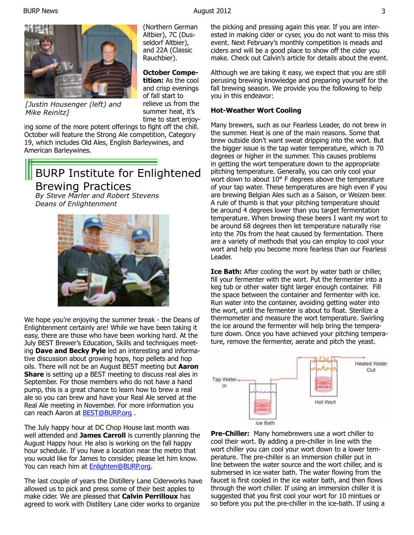(Northern German Altbier), 7C (Dusseldorf Altbier), and 22A (Classic Rauchbier).

**October Competition:** As the cool and crisp evenings of fall start to relieve us from the summer heat, it's



*[Justin Housenger (left) and Mike Reinitz]*

time to start enjoying some of the more potent offerings to fight off the chill. October will feature the Strong Ale competition, Category 19, which includes Old Ales, English Barleywines, and American Barleywines.

# BURP Institute for Enlightened Brewing Practices

*By Steve Marler and Robert Stevens Deans of Enlightenment* 



We hope you're enjoying the summer break - the Deans of Enlightenment certainly are! While we have been taking it easy, there are those who have been working hard. At the July BEST Brewer's Education, Skills and techniques meeting **Dave and Becky Pyle** led an interesting and informative discussion about growing hops, hop pellets and hop oils. There will not be an August BEST meeting but **Aaron Share** is setting up a BEST meeting to discuss real ales in September. For those members who do not have a hand pump, this is a great chance to learn how to brew a real ale so you can brew and have your Real Ale served at the Real Ale meeting in November. For more information you can reach Aaron at **BEST@BURP.org**.

The July happy hour at DC Chop House last month was well attended and **James Carroll** is currently planning the August Happy hour. He also is working on the fall happy hour schedule. If you have a location near the metro that you would like for James to consider, please let him know. You can reach him at **Enlighten@BURP.org.** 

The last couple of years the Distillery Lane Ciderworks have allowed us to pick and press some of their best apples to make cider. We are pleased that **Calvin Perrilloux** has agreed to work with Distillery Lane cider works to organize

the picking and pressing again this year. If you are interested in making cider or cyser, you do not want to miss this event. Next February's monthly competition is meads and ciders and will be a good place to show off the cider you make. Check out Calvin's article for details about the event.

Although we are taking it easy, we expect that you are still perusing brewing knowledge and preparing yourself for the fall brewing season. We provide you the following to help you in this endeavor:

#### **Hot-Weather Wort Cooling**

Many brewers, such as our Fearless Leader, do not brew in the summer. Heat is one of the main reasons. Some that brew outside don't want sweat dripping into the wort. But the bigger issue is the tap water temperature, which is 70 degrees or higher in the summer. This causes problems in getting the wort temperature down to the appropriate pitching temperature. Generally, you can only cool your wort down to about 10° F degrees above the temperature of your tap water. These temperatures are high even if you are brewing Belgian Ales such as a Saison, or Weizen beer. A rule of thumb is that your pitching temperature should be around 4 degrees lower than you target fermentation temperature. When brewing these beers I want my wort to be around 68 degrees then let temperature naturally rise into the 70s from the heat caused by fermentation. There are a variety of methods that you can employ to cool your wort and help you become more fearless than our Fearless Leader.

**Ice Bath:** After cooling the wort by water bath or chiller, fill your fermenter with the wort. Put the fermenter into a keg tub or other water tight larger enough container. Fill the space between the container and fermenter with ice. Run water into the container, avoiding getting water into the wort, until the fermenter is about to float. Sterilize a thermometer and measure the wort temperature. Swirling the ice around the fermenter will help bring the temperature down. Once you have achieved your pitching temperature, remove the fermenter, aerate and pitch the yeast.



**Pre-Chiller:** Many homebrewers use a wort chiller to cool their wort. By adding a pre-chiller in line with the wort chiller you can cool your wort down to a lower temperature. The pre-chiller is an immersion chiller put in line between the water source and the wort chiller, and is submersed in ice water bath. The water flowing from the faucet is first cooled in the ice water bath, and then flows through the wort chiller. If using an immersion chiller it is suggested that you first cool your wort for 10 mintues or so before you put the pre-chiller in the ice-bath. If using a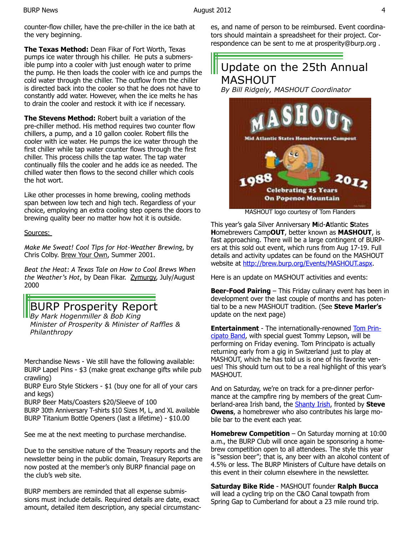counter-flow chiller, have the pre-chiller in the ice bath at the very beginning.

**The Texas Method:** Dean Fikar of Fort Worth, Texas pumps ice water through his chiller. He puts a submersible pump into a cooler with just enough water to prime the pump. He then loads the cooler with ice and pumps the cold water through the chiller. The outflow from the chiller is directed back into the cooler so that he does not have to constantly add water. However, when the ice melts he has to drain the cooler and restock it with ice if necessary.

**The Stevens Method:** Robert built a variation of the pre-chiller method. His method requires two counter flow chillers, a pump, and a 10 gallon cooler. Robert fills the cooler with ice water. He pumps the ice water through the first chiller while tap water counter flows through the first chiller. This process chills the tap water. The tap water continually fills the cooler and he adds ice as needed. The chilled water then flows to the second chiller which cools the hot wort.

Like other processes in home brewing, cooling methods span between low tech and high tech. Regardless of your choice, employing an extra cooling step opens the doors to brewing quality beer no matter how hot it is outside.

#### Sources:

*Make Me Sweat! Cool Tips for Hot-Weather Brewing*, by Chris Colby. Brew Your Own, Summer 2001.

*Beat the Heat: A Texas Tale on How to Cool Brews When the Weather's Hot*, by Dean Fikar. Zymurgy, July/August 2000

# **BURP Prosperity Report**

*By Mark Hogenmiller & Bob King Minister of Prosperity & Minister of Raffles & Philanthropy*

Merchandise News - We still have the following available: BURP Lapel Pins - \$3 (make great exchange gifts while pub crawling)

BURP Euro Style Stickers - \$1 (buy one for all of your cars and kegs)

BURP Beer Mats/Coasters \$20/Sleeve of 100

BURP 30th Anniversary T-shirts \$10 Sizes M, L, and XL available BURP Titanium Bottle Openers (last a lifetime) - \$10.00

See me at the next meeting to purchase merchandise.

Due to the sensitive nature of the Treasury reports and the newsletter being in the public domain, Treasury Reports are now posted at the member's only BURP financial page on the club's web site.

BURP members are reminded that all expense submissions must include details. Required details are date, exact amount, detailed item description, any special circumstances, and name of person to be reimbursed. Event coordinators should maintain a spreadsheet for their project. Correspondence can be sent to me at prosperity@burp.org .

# Update on the 25th Annual MASHOUT

*By Bill Ridgely, MASHOUT Coordinator*



MASHOUT logo courtesy of Tom Flanders

This year's gala Silver Anniversary **M**id-**A**tlantic **S**tates **H**omebrewers Camp**OUT**, better known as **MASHOUT**, is fast approaching. There will be a large contingent of BURPers at this sold out event, which runs from Aug 17-19. Full details and activity updates can be found on the MASHOUT website at http://brew.burp.org/Events/MASHOUT.aspx.

Here is an update on MASHOUT activities and events:

**Beer-Food Pairing** – This Friday culinary event has been in development over the last couple of months and has potential to be a new MASHOUT tradition. (See **Steve Marler's**  update on the next page)

**Entertainment** - The internationally-renowned Tom Principato Band, with special guest Tommy Lepson, will be performing on Friday evening. Tom Principato is actually returning early from a gig in Switzerland just to play at MASHOUT, which he has told us is one of his favorite venues! This should turn out to be a real highlight of this year's MASHOUT.

And on Saturday, we're on track for a pre-dinner performance at the campfire ring by members of the great Cumberland-area Irish band, the Shanty Irish, fronted by **Steve Owens**, a homebrewer who also contributes his large mobile bar to the event each year.

**Homebrew Competition** – On Saturday morning at 10:00 a.m., the BURP Club will once again be sponsoring a homebrew competition open to all attendees. The style this year is "session beer"; that is, any beer with an alcohol content of 4.5% or less. The BURP Ministers of Culture have details on this event in their column elsewhere in the newsletter.

**Saturday Bike Ride** - MASHOUT founder **Ralph Bucca** will lead a cycling trip on the C&O Canal towpath from Spring Gap to Cumberland for about a 23 mile round trip.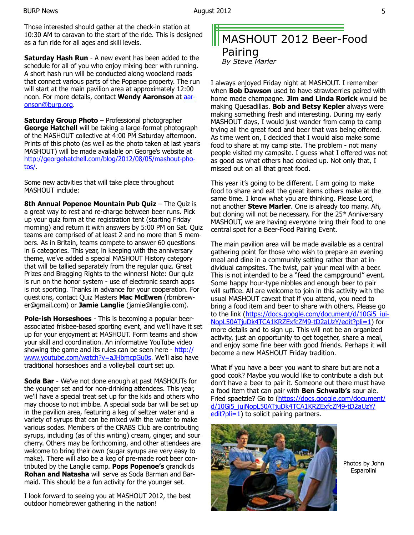Those interested should gather at the check-in station at 10:30 AM to caravan to the start of the ride. This is designed as a fun ride for all ages and skill levels.

**Saturday Hash Run** - A new event has been added to the schedule for all of you who enjoy mixing beer with running. A short hash run will be conducted along woodland roads that connect various parts of the Popenoe property. The run will start at the main pavilion area at approximately 12:00 noon. For more details, contact **Wendy Aaronson** at aaronson@burp.org.

**Saturday Group Photo** – Professional photographer **George Hatchell** will be taking a large-format photograph of the MASHOUT collective at 4:00 PM Saturday afternoon. Prints of this photo (as well as the photo taken at last year's MASHOUT) will be made available on George's website at http://georgehatchell.com/blog/2012/08/05/mashout-photos/.

Some new activities that will take place throughout MASHOUT include:

**8th Annual Popenoe Mountain Pub Quiz** – The Quiz is a great way to rest and re-charge between beer runs. Pick up your quiz form at the registration tent (starting Friday morning) and return it with answers by 5:00 PM on Sat. Quiz teams are comprised of at least 2 and no more than 5 members. As in Britain, teams compete to answer 60 questions in 6 categories. This year, in keeping with the anniversary theme, we've added a special MASHOUT History category that will be tallied separately from the regular quiz. Great Prizes and Bragging Rights to the winners! Note: Our quiz is run on the honor system - use of electronic search apps is not sporting. Thanks in advance for your cooperation. For questions, contact Quiz Masters **Mac McEwen** (rbmbrewer@gmail.com) or **Jamie Langlie** (jamie@langlie.com).

**Pole-ish Horseshoes** - This is becoming a popular beerassociated frisbee-based sporting event, and we'll have it set up for your enjoyment at MASHOUT. Form teams and show your skill and coordination. An informative YouTube video showing the game and its rules can be seen here - http:// www.youtube.com/watch?v=aJHbmcpGu0s. We'll also have traditional horseshoes and a volleyball court set up.

**Soda Bar** - We've not done enough at past MASHOUTs for the younger set and for non-drinking attendees. This year, we'll have a special treat set up for the kids and others who may choose to not imbibe. A special soda bar will be set up in the pavilion area, featuring a keg of seltzer water and a variety of syrups that can be mixed with the water to make various sodas. Members of the CRABS Club are contributing syrups, including (as of this writing) cream, ginger, and sour cherry. Others may be forthcoming, and other attendees are welcome to bring their own (sugar syrups are very easy to make). There will also be a keg of pre-made root beer contributed by the Langlie camp. **Pops Popenoe's** grandkids **Rohan and Natasha** will serve as Soda Barman and Barmaid. This should be a fun activity for the younger set.

I look forward to seeing you at MASHOUT 2012, the best outdoor homebrewer gathering in the nation!

# MASHOUT 2012 Beer-Food Pairing

*By Steve Marler*

I always enjoyed Friday night at MASHOUT. I remember when **Bob Dawson** used to have strawberries paired with home made champagne. **Jim and Linda Rorick** would be making Quesadillas. **Bob and Betsy Kepler** always were making something fresh and interesting. During my early MASHOUT days, I would just wander from camp to camp trying all the great food and beer that was being offered. As time went on, I decided that I would also make some food to share at my camp site. The problem - not many people visited my campsite. I guess what I offered was not as good as what others had cooked up. Not only that, I missed out on all that great food.

This year it's going to be different. I am going to make food to share and eat the great items others make at the same time. I know what you are thinking. Please Lord, not another **Steve Marler**. One is already too many. Ah, but cloning will not be necessary. For the 25<sup>th</sup> Anniversary MASHOUT, we are having everyone bring their food to one central spot for a Beer-Food Pairing Event.

The main pavilion area will be made available as a central gathering point for those who wish to prepare an evening meal and dine in a community setting rather than at individual campsites. The twist, pair your meal with a beer. This is not intended to be a "feed the campground" event. Some happy hour-type nibbles and enough beer to pair will suffice. All are welcome to join in this activity with the usual MASHOUT caveat that if you attend, you need to bring a food item and beer to share with others. Please go to the link (https://docs.google.com/document/d/10Gi5\_iui-NopL50ATjuDk4TCA1KRZExfcZM9-tD2aUzY/edit?pli=1) for more details and to sign up. This will not be an organized activity, just an opportunity to get together, share a meal, and enjoy some fine beer with good friends. Perhaps it will become a new MASHOUT Friday tradition.

What if you have a beer you want to share but are not a good cook? Maybe you would like to contribute a dish but don't have a beer to pair it. Someone out there must have a food item that can pair with **Ben Schwalb's** sour ale. Fried spaetzle? Go to (https://docs.google.com/document/ d/10Gi5\_iuiNopL50ATjuDk4TCA1KRZExfcZM9-tD2aUzY/  $edit?$ pli=1) to solicit pairing partners.



Photos by John Esparolini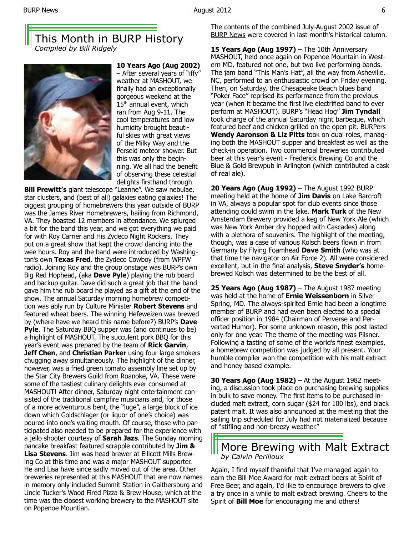## This Month in BURP History *Compiled by Bill Ridgely*



**10 Years Ago (Aug 2002)**  – After several years of "iffy" weather at MASHOUT, we finally had an exceptionally gorgeous weekend at the 15<sup>th</sup> annual event, which ran from Aug 9-11. The cool temperatures and low humidity brought beautiful skies with great views of the Milky Way and the Perseid meteor shower. But this was only the beginning. We all had the benefit of observing these celestial delights firsthand through

**Bill Prewitt's** giant telescope "Leanne". We saw nebulae, star clusters, and (best of all) galaxies eating galaxies! The biggest grouping of homebrewers this year outside of BURP was the James River Homebrewers, hailing from Richmond, VA. They boasted 12 members in attendance. We splurged a bit for the band this year, and we got everything we paid for with Roy Carrier and His Zydeco Night Rockers. They put on a great show that kept the crowd dancing into the wee hours. Roy and the band were introduced by Washington's own **Texas Fred**, the Zydeco Cowboy (from WPFW radio). Joining Roy and the group onstage was BURP's own Big Red Hophead, (aka **Dave Pyle**) playing the rub board and backup guitar. Dave did such a great job that the band gave him the rub board he played as a gift at the end of the show. The annual Saturday morning homebrew competition was ably run by Culture Minister **Robert Stevens** and featured wheat beers. The winning Hefeweizen was brewed by (where have we heard this name before?) BURP's **Dave Pyle.** The Saturday BBQ supper was (and continues to be) a highlight of MASHOUT. The succulent pork BBQ for this year's event was prepared by the team of **Rick Garvin**, **Jeff Chen, and Christian Parker** using four large smokers chugging away simultaneously. The highlight of the dinner, however, was a fried green tomato assembly line set up by the Star City Brewers Guild from Roanoke, VA. These were some of the tastiest culinary delights ever consumed at MASHOUT! After dinner, Saturday night entertainment consisted of the traditional campfire musicians and, for those of a more adventurous bent, the "luge", a large block of ice down which Goldschlager (or liquor of one's choice) was poured into one's waiting mouth. Of course, those who participated also needed to be prepared for the experience with a jello shooter courtesy of **Sarah Jazs**. The Sunday morning pancake breakfast featured scrapple contributed by **Jim & Lisa Stevens**. Jim was head brewer at Ellicott Mills Brewing Co at this time and was a major MASHOUT supporter. He and Lisa have since sadly moved out of the area. Other breweries represented at this MASHOUT that are now names in memory only included Summit Station in Gaithersburg and Uncle Tucker's Wood Fired Pizza & Brew House, which at the time was the closest working brewery to the MASHOUT site on Popenoe Mountian.

The contents of the combined July-August 2002 issue of BURP News were covered in last month's historical column.

**15 Years Ago (Aug 1997)** – The 10th Anniversary MASHOUT, held once again on Popenoe Mountain in Western MD, featured not one, but two live performing bands. The jam band "This Man's Hat", all the way from Asheville, NC, performed to an enthusiastic crowd on Friday evening. Then, on Saturday, the Chesapeake Beach blues band "Poker Face" reprised its performance from the previous year (when it became the first live electrified band to ever perform at MASHOUT). BURP's "Head Hog" **Jim Tyndall**  took charge of the annual Saturday night barbeque, which featured beef and chicken grilled on the open pit. BURPers **Wendy Aaronson & Liz Pitts** took on dual roles, managing both the MASHOUT supper and breakfast as well as the check-in operation. Two commercial breweries contributed beer at this year's event - Frederick Brewing Co and the Blue & Gold Brewpub in Arlington (which contributed a cask of real ale).

**20 Years Ago (Aug 1992)** – The August 1992 BURP meeting held at the home of **Jim Davis** on Lake Barcroft in VA, always a popular spot for club events since those attending could swim in the lake. **Mark Turk** of the New Amsterdam Brewery provided a keg of New York Ale (which was New York Amber dry hopped with Cascades) along with a plethora of souvenirs. The highlight of the meeting, though, was a case of various Kolsch beers flown in from Germany by Flying Foamhead **Dave Smith** (who was at that time the navigator on Air Force 2). All were considered excellent, but in the final analysis, **Steve Snyder's** homebrewed Kolsch was determined to be the best of all.

**25 Years Ago (Aug 1987)** – The August 1987 meeting was held at the home of **Ernie Weissenborn** in Silver Spring, MD. The always-spirited Ernie had been a longtime member of BURP and had even been elected to a special officer position in 1984 (Chairman of Perverse and Perverted Humor). For some unknown reason, this post lasted only for one year. The theme of the meeting was Pilsner. Following a tasting of some of the world's finest examples, a homebrew competition was judged by all present. Your humble compiler won the competition with his malt extract and honey based example.

**30 Years Ago (Aug 1982)** – At the August 1982 meeting, a discussion took place on purchasing brewing supplies in bulk to save money. The first items to be purchased included malt extract, corn sugar (\$24 for 100 lbs), and black patent malt. It was also announced at the meeting that the sailing trip scheduled for July had not materialized because of "stifling and non-breezy weather."

## More Brewing with Malt Extract *by Calvin Perilloux*

Again, I find myself thankful that I've managed again to earn the Bill Moe Award for malt extract beers at Spirit of Free Beer, and again, I'd like to encourage brewers to give a try once in a while to malt extract brewing. Cheers to the Spirit of **Bill Moe** for encouraging me and others!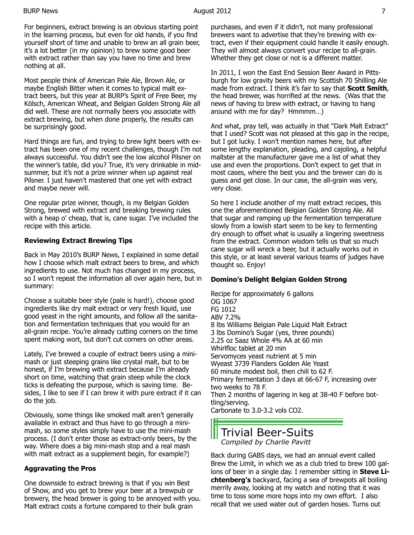For beginners, extract brewing is an obvious starting point in the learning process, but even for old hands, if you find yourself short of time and unable to brew an all grain beer, it's a lot better (in my opinion) to brew some good beer with extract rather than say you have no time and brew nothing at all.

Most people think of American Pale Ale, Brown Ale, or maybe English Bitter when it comes to typical malt extract beers, but this year at BURP's Spirit of Free Beer, my Kölsch, American Wheat, and Belgian Golden Strong Ale all did well. These are not normally beers you associate with extract brewing, but when done properly, the results can be surprisingly good.

Hard things are fun, and trying to brew light beers with extract has been one of my recent challenges, though I'm not always successful. You didn't see the low alcohol Pilsner on the winner's table, did you? True, it's very drinkable in midsummer, but it's not a prize winner when up against real Pilsner. I just haven't mastered that one yet with extract and maybe never will.

One regular prize winner, though, is my Belgian Golden Strong, brewed with extract and breaking brewing rules with a heap o' cheap, that is, cane sugar. I've included the recipe with this article.

### **Reviewing Extract Brewing Tips**

Back in May 2010's BURP News, I explained in some detail how I choose which malt extract beers to brew, and which ingredients to use. Not much has changed in my process, so I won't repeat the information all over again here, but in summary:

Choose a suitable beer style (pale is hard!), choose good ingredients like dry malt extract or very fresh liquid, use good yeast in the right amounts, and follow all the sanitation and fermentation techniques that you would for an all-grain recipe. You're already cutting corners on the time spent making wort, but don't cut corners on other areas.

Lately, I've brewed a couple of extract beers using a minimash or just steeping grains like crystal malt, but to be honest, if I'm brewing with extract because I'm already short on time, watching that grain steep while the clock ticks is defeating the purpose, which is saving time. Besides, I like to see if I can brew it with pure extract if it can do the job.

Obviously, some things like smoked malt aren't generally available in extract and thus have to go through a minimash, so some styles simply have to use the mini-mash process. (I don't enter those as extract-only beers, by the way. Where does a big mini-mash stop and a real mash with malt extract as a supplement begin, for example?)

### **Aggravating the Pros**

One downside to extract brewing is that if you win Best of Show, and you get to brew your beer at a brewpub or brewery, the head brewer is going to be annoyed with you. Malt extract costs a fortune compared to their bulk grain

purchases, and even if it didn't, not many professional brewers want to advertise that they're brewing with extract, even if their equipment could handle it easily enough. They will almost always convert your recipe to all-grain. Whether they get close or not is a different matter.

In 2011, I won the East End Session Beer Award in Pittsburgh for low gravity beers with my Scottish 70 Shilling Ale made from extract. I think it's fair to say that **Scott Smith**, the head brewer, was horrified at the news. (Was that the news of having to brew with extract, or having to hang around with me for day? Hmmmm…)

And what, pray tell, was actually in that "Dark Malt Extract" that I used? Scott was not pleased at this gap in the recipe, but I got lucky. I won't mention names here, but after some lengthy explanation, pleading, and cajoling, a helpful maltster at the manufacturer gave me a list of what they use and even the proportions. Don't expect to get that in most cases, where the best you and the brewer can do is guess and get close. In our case, the all-grain was very, very close.

So here I include another of my malt extract recipes, this one the aforementioned Belgian Golden Strong Ale. All that sugar and ramping up the fermentation temperature slowly from a lowish start seem to be key to fermenting dry enough to offset what is usually a lingering sweetness from the extract. Common wisdom tells us that so much cane sugar will wreck a beer, but it actually works out in this style, or at least several various teams of judges have thought so. Enjoy!

### **Domino's Delight Belgian Golden Strong**

Recipe for approximately 6 gallons OG 1067 FG 1012 ABV 7.2% 8 lbs Williams Belgian Pale Liquid Malt Extract 3 lbs Domino's Sugar (yes, three pounds) 2.25 oz Saaz Whole 4% AA at 60 min Whirlfloc tablet at 20 min Servomyces yeast nutrient at 5 min Wyeast 3739 Flanders Golden Ale Yeast 60 minute modest boil, then chill to 62 F. Primary fermentation 3 days at 66-67 F, increasing over two weeks to 78 F. Then 2 months of lagering in keg at 38-40 F before bottling/serving. Carbonate to 3.0-3.2 vols CO2.

## Trivial Beer-Suits *Compiled by Charlie Pavitt*

Back during GABS days, we had an annual event called Brew the Limit, in which we as a club tried to brew 100 gallons of beer in a single day. I remember sitting in **Steve Lichtenberg's** backyard, facing a sea of brewpots all boiling merrily away, looking at my watch and noting that it was time to toss some more hops into my own effort. I also recall that we used water out of garden hoses. Turns out